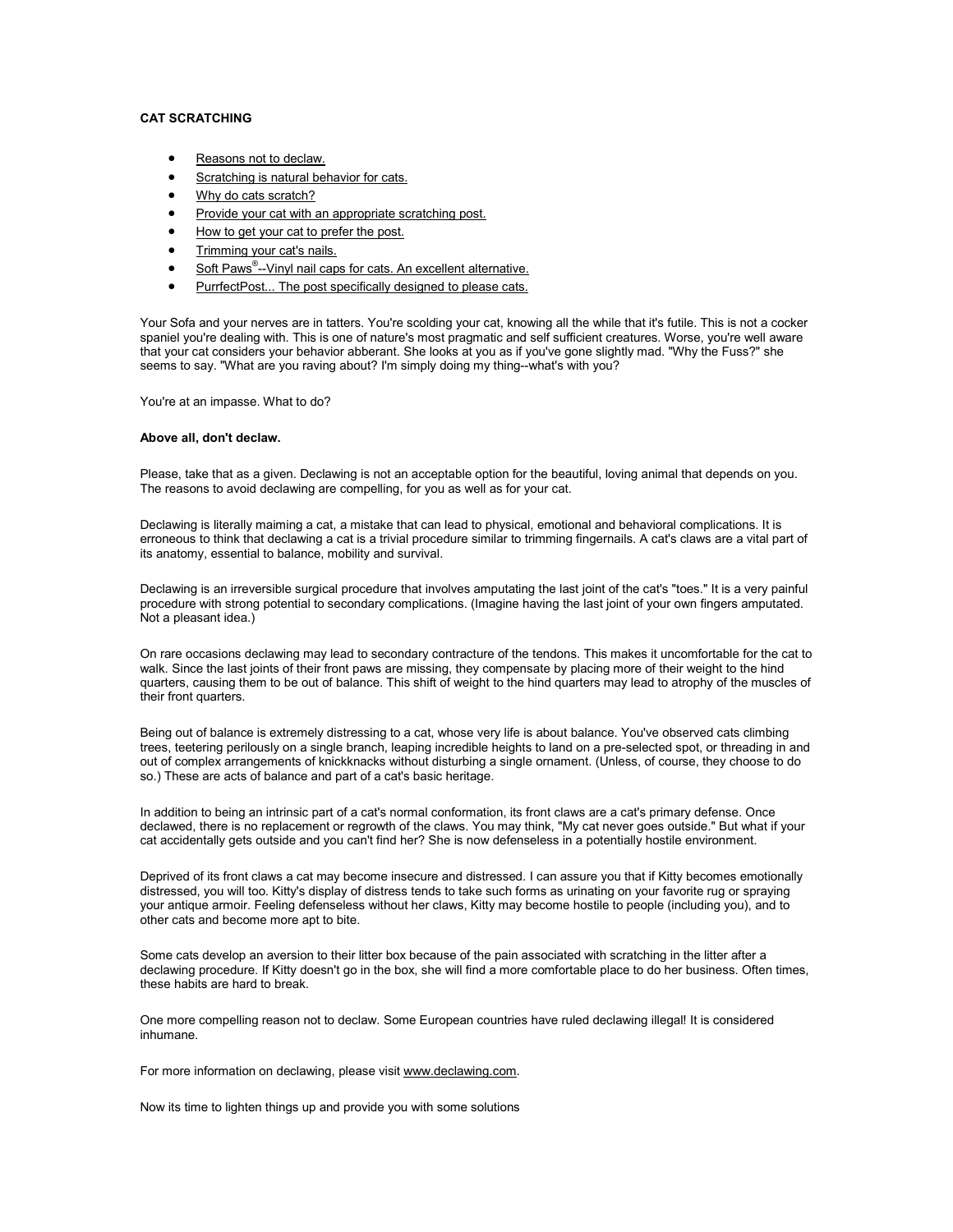# **CAT SCRATCHING**

- [Reasons not to declaw.](http://www.catscratching.com/#declaw#declaw)
- [Scratching is natural behavior for cats.](http://www.catscratching.com/#natbeh#natbeh)
- Why do cats scratch?
- [Provide your cat with an appropriate scratching post.](http://www.catscratching.com/#post#post)
- How to get your cat to prefer the post.
- [Trimming your cat's nails.](http://www.catscratching.com/#trimming#trimming)
- Soft Paws<sup>®</sup>[--Vinyl nail caps for cats. An excellent alternative.](http://www.catscratching.com/#softpaws#softpaws)
- PurrfectPost... The post specifically designed to please cats.

Your Sofa and your nerves are in tatters. You're scolding your cat, knowing all the while that it's futile. This is not a cocker spaniel you're dealing with. This is one of nature's most pragmatic and self sufficient creatures. Worse, you're well aware that your cat considers your behavior abberant. She looks at you as if you've gone slightly mad. "Why the Fuss?" she seems to say. "What are you raving about? I'm simply doing my thing--what's with you?

You're at an impasse. What to do?

## **Above all, don't declaw.**

Please, take that as a given. Declawing is not an acceptable option for the beautiful, loving animal that depends on you. The reasons to avoid declawing are compelling, for you as well as for your cat.

Declawing is literally maiming a cat, a mistake that can lead to physical, emotional and behavioral complications. It is erroneous to think that declawing a cat is a trivial procedure similar to trimming fingernails. A cat's claws are a vital part of its anatomy, essential to balance, mobility and survival.

Declawing is an irreversible surgical procedure that involves amputating the last joint of the cat's "toes." It is a very painful procedure with strong potential to secondary complications. (Imagine having the last joint of your own fingers amputated. Not a pleasant idea.)

On rare occasions declawing may lead to secondary contracture of the tendons. This makes it uncomfortable for the cat to walk. Since the last joints of their front paws are missing, they compensate by placing more of their weight to the hind quarters, causing them to be out of balance. This shift of weight to the hind quarters may lead to atrophy of the muscles of their front quarters.

Being out of balance is extremely distressing to a cat, whose very life is about balance. You've observed cats climbing trees, teetering perilously on a single branch, leaping incredible heights to land on a pre-selected spot, or threading in and out of complex arrangements of knickknacks without disturbing a single ornament. (Unless, of course, they choose to do so.) These are acts of balance and part of a cat's basic heritage.

In addition to being an intrinsic part of a cat's normal conformation, its front claws are a cat's primary defense. Once declawed, there is no replacement or regrowth of the claws. You may think, "My cat never goes outside." But what if your cat accidentally gets outside and you can't find her? She is now defenseless in a potentially hostile environment.

Deprived of its front claws a cat may become insecure and distressed. I can assure you that if Kitty becomes emotionally distressed, you will too. Kitty's display of distress tends to take such forms as urinating on your favorite rug or spraying your antique armoir. Feeling defenseless without her claws, Kitty may become hostile to people (including you), and to other cats and become more apt to bite.

Some cats develop an aversion to their litter box because of the pain associated with scratching in the litter after a declawing procedure. If Kitty doesn't go in the box, she will find a more comfortable place to do her business. Often times, these habits are hard to break.

One more compelling reason not to declaw. Some European countries have ruled declawing illegal! It is considered inhumane.

For more information on declawing, please visit [www.declawing.com](http://www.declawing.com/).

Now its time to lighten things up and provide you with some solutions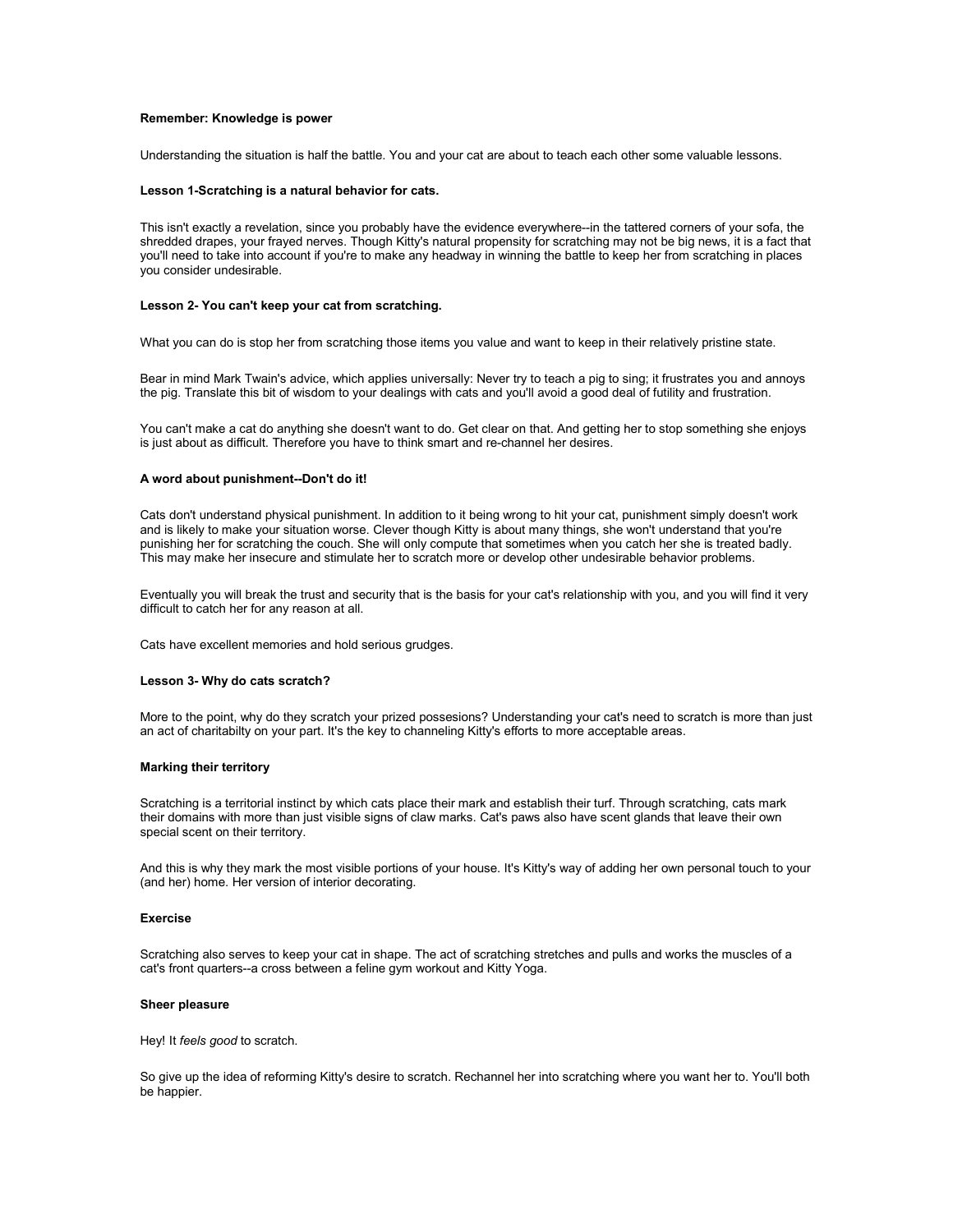## **Remember: Knowledge is power**

Understanding the situation is half the battle. You and your cat are about to teach each other some valuable lessons.

#### **Lesson 1-Scratching is a natural behavior for cats.**

This isn't exactly a revelation, since you probably have the evidence everywhere--in the tattered corners of your sofa, the shredded drapes, your frayed nerves. Though Kitty's natural propensity for scratching may not be big news, it is a fact that you'll need to take into account if you're to make any headway in winning the battle to keep her from scratching in places you consider undesirable.

## **Lesson 2- You can't keep your cat from scratching.**

What you can do is stop her from scratching those items you value and want to keep in their relatively pristine state.

Bear in mind Mark Twain's advice, which applies universally: Never try to teach a pig to sing; it frustrates you and annoys the pig. Translate this bit of wisdom to your dealings with cats and you'll avoid a good deal of futility and frustration.

You can't make a cat do anything she doesn't want to do. Get clear on that. And getting her to stop something she enjoys is just about as difficult. Therefore you have to think smart and re-channel her desires.

## **A word about punishment--Don't do it!**

Cats don't understand physical punishment. In addition to it being wrong to hit your cat, punishment simply doesn't work and is likely to make your situation worse. Clever though Kitty is about many things, she won't understand that you're punishing her for scratching the couch. She will only compute that sometimes when you catch her she is treated badly. This may make her insecure and stimulate her to scratch more or develop other undesirable behavior problems.

Eventually you will break the trust and security that is the basis for your cat's relationship with you, and you will find it very difficult to catch her for any reason at all.

Cats have excellent memories and hold serious grudges.

#### **Lesson 3- Why do cats scratch?**

More to the point, why do they scratch your prized possesions? Understanding your cat's need to scratch is more than just an act of charitabilty on your part. It's the key to channeling Kitty's efforts to more acceptable areas.

## **Marking their territory**

Scratching is a territorial instinct by which cats place their mark and establish their turf. Through scratching, cats mark their domains with more than just visible signs of claw marks. Cat's paws also have scent glands that leave their own special scent on their territory.

And this is why they mark the most visible portions of your house. It's Kitty's way of adding her own personal touch to your (and her) home. Her version of interior decorating.

## **Exercise**

Scratching also serves to keep your cat in shape. The act of scratching stretches and pulls and works the muscles of a cat's front quarters--a cross between a feline gym workout and Kitty Yoga.

#### **Sheer pleasure**

Hey! It *feels good* to scratch.

So give up the idea of reforming Kitty's desire to scratch. Rechannel her into scratching where you want her to. You'll both be happier.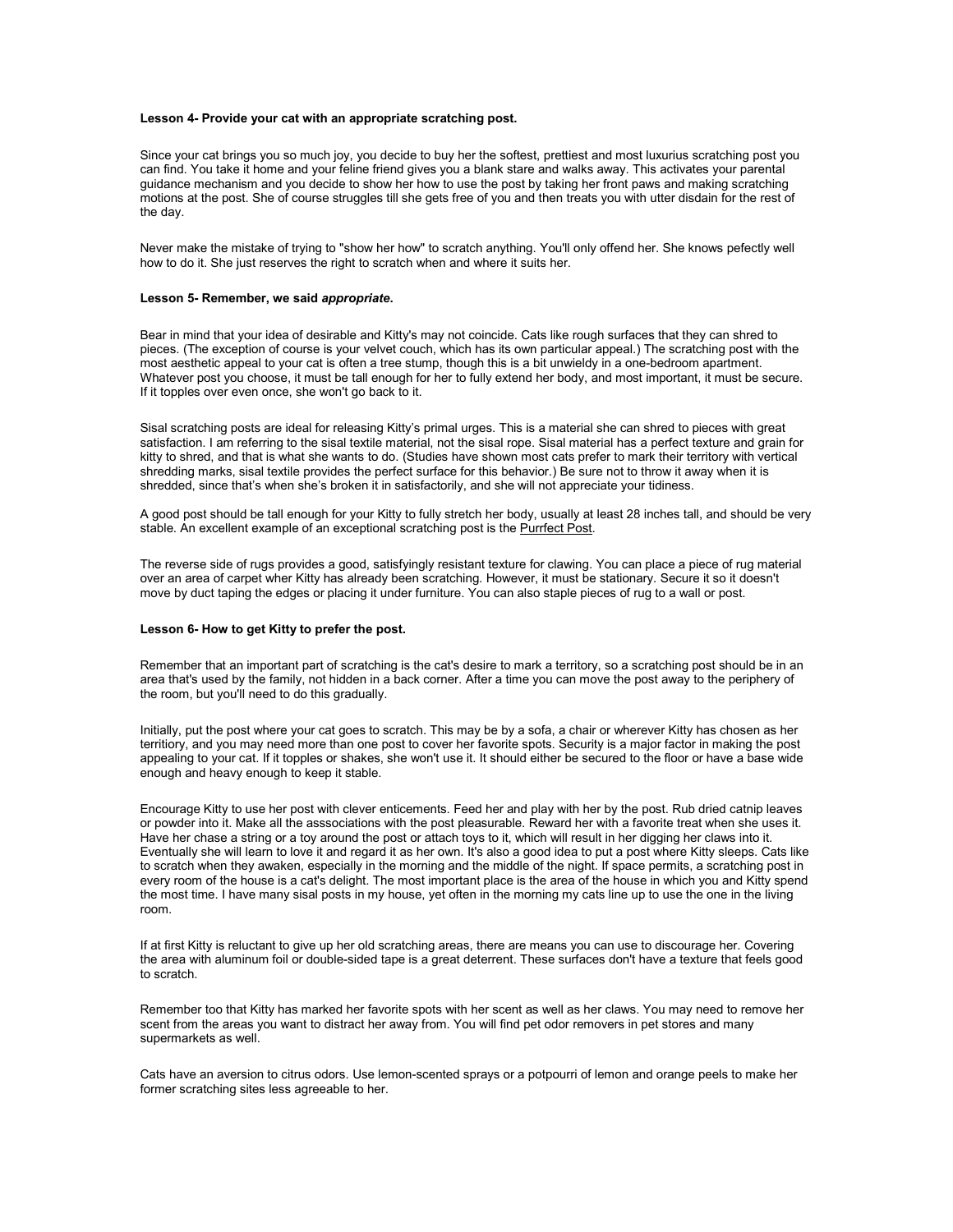## **Lesson 4- Provide your cat with an appropriate scratching post.**

Since your cat brings you so much joy, you decide to buy her the softest, prettiest and most luxurius scratching post you can find. You take it home and your feline friend gives you a blank stare and walks away. This activates your parental guidance mechanism and you decide to show her how to use the post by taking her front paws and making scratching motions at the post. She of course struggles till she gets free of you and then treats you with utter disdain for the rest of the day.

Never make the mistake of trying to "show her how" to scratch anything. You'll only offend her. She knows pefectly well how to do it. She just reserves the right to scratch when and where it suits her.

## **Lesson 5- Remember, we said** *appropriate***.**

Bear in mind that your idea of desirable and Kitty's may not coincide. Cats like rough surfaces that they can shred to pieces. (The exception of course is your velvet couch, which has its own particular appeal.) The scratching post with the most aesthetic appeal to your cat is often a tree stump, though this is a bit unwieldy in a one-bedroom apartment. Whatever post you choose, it must be tall enough for her to fully extend her body, and most important, it must be secure. If it topples over even once, she won't go back to it.

Sisal scratching posts are ideal for releasing Kitty's primal urges. This is a material she can shred to pieces with great satisfaction. I am referring to the sisal textile material, not the sisal rope. Sisal material has a perfect texture and grain for kitty to shred, and that is what she wants to do. (Studies have shown most cats prefer to mark their territory with vertical shredding marks, sisal textile provides the perfect surface for this behavior.) Be sure not to throw it away when it is shredded, since that's when she's broken it in satisfactorily, and she will not appreciate your tidiness.

A good post should be tall enough for your Kitty to fully stretch her body, usually at least 28 inches tall, and should be very stable. An excellent example of an exceptional scratching post is the [Purrfect Post](http://www.purrfectpost.com/).

The reverse side of rugs provides a good, satisfyingly resistant texture for clawing. You can place a piece of rug material over an area of carpet wher Kitty has already been scratching. However, it must be stationary. Secure it so it doesn't move by duct taping the edges or placing it under furniture. You can also staple pieces of rug to a wall or post.

## **Lesson 6- How to get Kitty to prefer the post.**

Remember that an important part of scratching is the cat's desire to mark a territory, so a scratching post should be in an area that's used by the family, not hidden in a back corner. After a time you can move the post away to the periphery of the room, but you'll need to do this gradually.

Initially, put the post where your cat goes to scratch. This may be by a sofa, a chair or wherever Kitty has chosen as her territiory, and you may need more than one post to cover her favorite spots. Security is a major factor in making the post appealing to your cat. If it topples or shakes, she won't use it. It should either be secured to the floor or have a base wide enough and heavy enough to keep it stable.

Encourage Kitty to use her post with clever enticements. Feed her and play with her by the post. Rub dried catnip leaves or powder into it. Make all the asssociations with the post pleasurable. Reward her with a favorite treat when she uses it. Have her chase a string or a toy around the post or attach toys to it, which will result in her digging her claws into it. Eventually she will learn to love it and regard it as her own. It's also a good idea to put a post where Kitty sleeps. Cats like to scratch when they awaken, especially in the morning and the middle of the night. If space permits, a scratching post in every room of the house is a cat's delight. The most important place is the area of the house in which you and Kitty spend the most time. I have many sisal posts in my house, yet often in the morning my cats line up to use the one in the living room.

If at first Kitty is reluctant to give up her old scratching areas, there are means you can use to discourage her. Covering the area with aluminum foil or double-sided tape is a great deterrent. These surfaces don't have a texture that feels good to scratch.

Remember too that Kitty has marked her favorite spots with her scent as well as her claws. You may need to remove her scent from the areas you want to distract her away from. You will find pet odor removers in pet stores and many supermarkets as well.

Cats have an aversion to citrus odors. Use lemon-scented sprays or a potpourri of lemon and orange peels to make her former scratching sites less agreeable to her.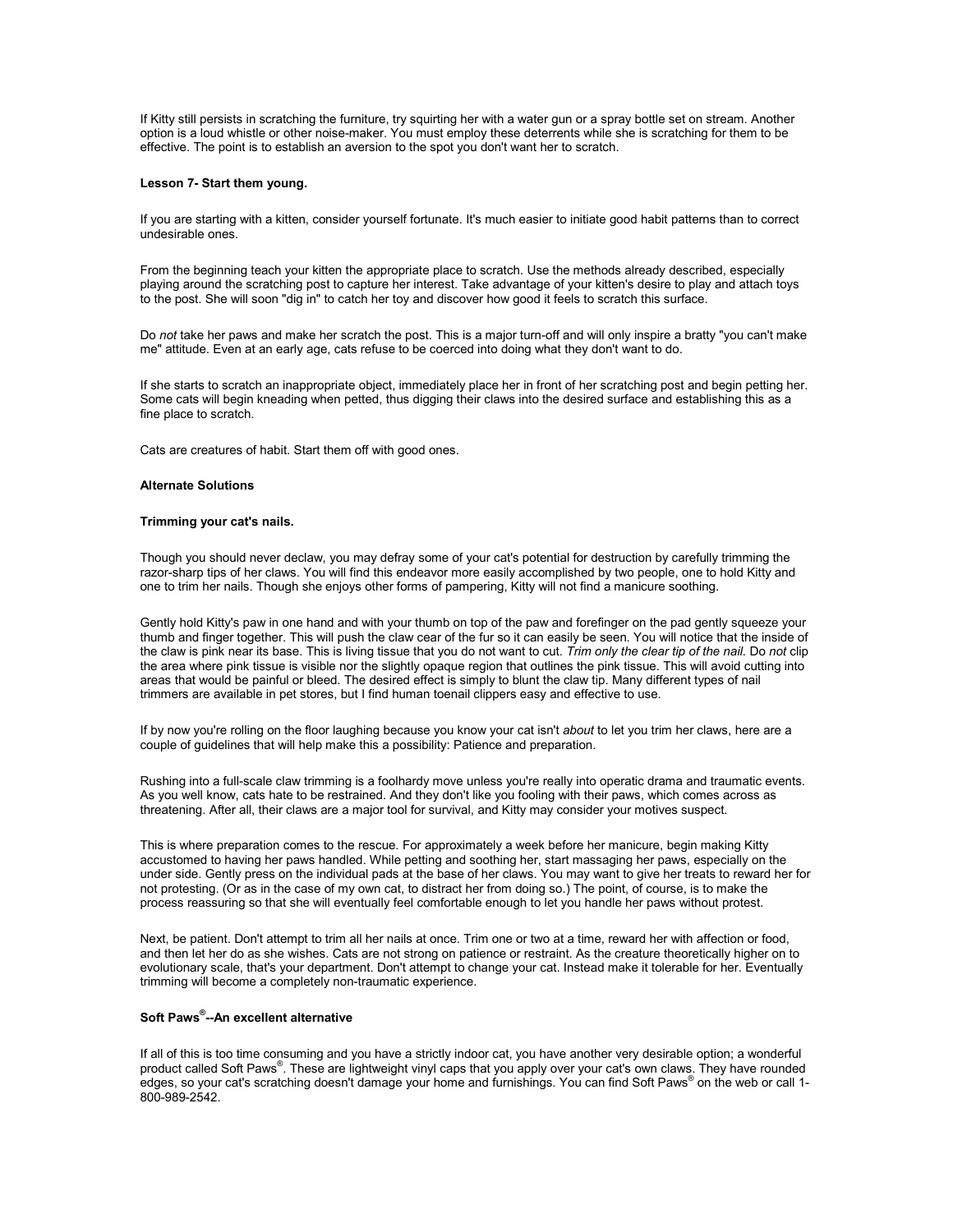If Kitty still persists in scratching the furniture, try squirting her with a water gun or a spray bottle set on stream. Another option is a loud whistle or other noise-maker. You must employ these deterrents while she is scratching for them to be effective. The point is to establish an aversion to the spot you don't want her to scratch.

## **Lesson 7- Start them young.**

If you are starting with a kitten, consider yourself fortunate. It's much easier to initiate good habit patterns than to correct undesirable ones.

From the beginning teach your kitten the appropriate place to scratch. Use the methods already described, especially playing around the scratching post to capture her interest. Take advantage of your kitten's desire to play and attach toys to the post. She will soon "dig in" to catch her toy and discover how good it feels to scratch this surface.

Do *not* take her paws and make her scratch the post. This is a major turn-off and will only inspire a bratty "you can't make me" attitude. Even at an early age, cats refuse to be coerced into doing what they don't want to do.

If she starts to scratch an inappropriate object, immediately place her in front of her scratching post and begin petting her. Some cats will begin kneading when petted, thus digging their claws into the desired surface and establishing this as a fine place to scratch.

Cats are creatures of habit. Start them off with good ones.

## **Alternate Solutions**

## **Trimming your cat's nails.**

Though you should never declaw, you may defray some of your cat's potential for destruction by carefully trimming the razor-sharp tips of her claws. You will find this endeavor more easily accomplished by two people, one to hold Kitty and one to trim her nails. Though she enjoys other forms of pampering, Kitty will not find a manicure soothing.

Gently hold Kitty's paw in one hand and with your thumb on top of the paw and forefinger on the pad gently squeeze your thumb and finger together. This will push the claw cear of the fur so it can easily be seen. You will notice that the inside of the claw is pink near its base. This is living tissue that you do not want to cut. *Trim only the clear tip of the nail.* Do *not* clip the area where pink tissue is visible nor the slightly opaque region that outlines the pink tissue. This will avoid cutting into areas that would be painful or bleed. The desired effect is simply to blunt the claw tip. Many different types of nail trimmers are available in pet stores, but I find human toenail clippers easy and effective to use.

If by now you're rolling on the floor laughing because you know your cat isn't *about* to let you trim her claws, here are a couple of guidelines that will help make this a possibility: Patience and preparation.

Rushing into a full-scale claw trimming is a foolhardy move unless you're really into operatic drama and traumatic events. As you well know, cats hate to be restrained. And they don't like you fooling with their paws, which comes across as threatening. After all, their claws are a major tool for survival, and Kitty may consider your motives suspect.

This is where preparation comes to the rescue. For approximately a week before her manicure, begin making Kitty accustomed to having her paws handled. While petting and soothing her, start massaging her paws, especially on the under side. Gently press on the individual pads at the base of her claws. You may want to give her treats to reward her for not protesting. (Or as in the case of my own cat, to distract her from doing so.) The point, of course, is to make the process reassuring so that she will eventually feel comfortable enough to let you handle her paws without protest.

Next, be patient. Don't attempt to trim all her nails at once. Trim one or two at a time, reward her with affection or food, and then let her do as she wishes. Cats are not strong on patience or restraint. As the creature theoretically higher on to evolutionary scale, that's your department. Don't attempt to change your cat. Instead make it tolerable for her. Eventually trimming will become a completely non-traumatic experience.

# **Soft Paws® --An excellent alternative**

If all of this is too time consuming and you have a strictly indoor cat, you have another very desirable option; a wonderful product called Soft Paws®. These are lightweight vinyl caps that you apply over your cat's own claws. They have rounded edges, so your cat's scratching doesn't damage your home and furnishings. You can find Soft Paws® on the web or call 1- 800-989-2542.